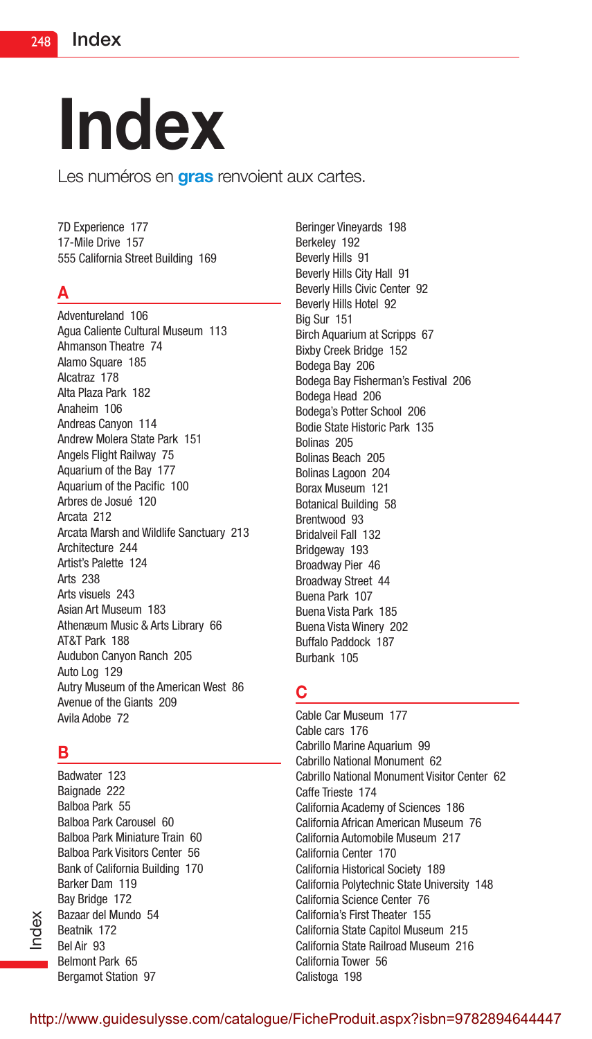# Index

Les numéros en **gras** renvoient aux cartes.

7D Experience 177 17-Mile Drive 157 555 California Street Building 169

## A

Adventureland 106 Agua Caliente Cultural Museum 113 Ahmanson Theatre 74 Alamo Square 185 Alcatraz 178 Alta Plaza Park 182 Anaheim 106 Andreas Canyon 114 Andrew Molera State Park 151 Angels Flight Railway 75 Aquarium of the Bay 177 Aquarium of the Pacific 100 Arbres de Josué 120 Arcata 212 Arcata Marsh and Wildlife Sanctuary 213 Architecture 244 Artist's Palette 124 Arts 238 Arts visuels 243 Asian Art Museum 183 Athenæum Music & Arts Library 66 AT&T Park 188 Audubon Canyon Ranch 205 Auto Log 129 Autry Museum of the American West 86 Avenue of the Giants 209 Avila Adobe 72

## B

Index

Badwater 123 Baignade 222 Balboa Park 55 Balboa Park Carousel 60 Balboa Park Miniature Train 60 Balboa Park Visitors Center 56 Bank of California Building 170 Barker Dam 119 Bay Bridge 172 Bazaar del Mundo 54 Beatnik 172 Bel Air 93 Belmont Park 65 Bergamot Station 97

Beringer Vineyards 198 Berkeley 192 Beverly Hills 91 Beverly Hills City Hall 91 Beverly Hills Civic Center 92 Beverly Hills Hotel 92 Big Sur 151 Birch Aquarium at Scripps 67 Bixby Creek Bridge 152 Bodega Bay 206 Bodega Bay Fisherman's Festival 206 Bodega Head 206 Bodega's Potter School 206 Bodie State Historic Park 135 Bolinas 205 Bolinas Beach 205 Bolinas Lagoon 204 Borax Museum 121 Botanical Building 58 Brentwood 93 Bridalveil Fall 132 Bridgeway 193 Broadway Pier 46 Broadway Street 44 Buena Park 107 Buena Vista Park 185 Buena Vista Winery 202 Buffalo Paddock 187 Burbank 105

## C

Cable Car Museum 177 Cable cars 176 Cabrillo Marine Aquarium 99 Cabrillo National Monument 62 Cabrillo National Monument Visitor Center 62 Caffe Trieste 174 California Academy of Sciences 186 California African American Museum 76 California Automobile Museum 217 California Center 170 California Historical Society 189 California Polytechnic State University 148 California Science Center 76 California's First Theater 155 California State Capitol Museum 215 California State Railroad Museum 216 California Tower 56 Calistoga 198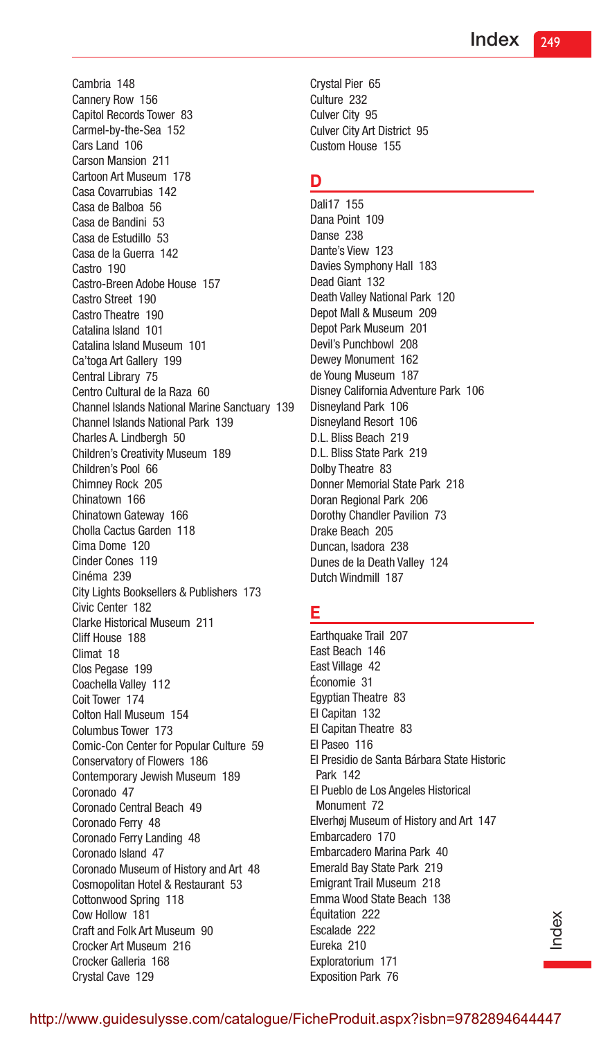Cambria 148 Cannery Row 156 Capitol Records Tower 83 Carmel-by-the-Sea 152 Cars Land 106 Carson Mansion 211 Cartoon Art Museum 178 Casa Covarrubias 142 Casa de Balboa 56 Casa de Bandini 53 Casa de Estudillo 53 Casa de la Guerra 142 Castro 190 Castro-Breen Adobe House 157 Castro Street 190 Castro Theatre 190 Catalina Island 101 Catalina Island Museum 101 Ca'toga Art Gallery 199 Central Library 75 Centro Cultural de la Raza 60 Channel Islands National Marine Sanctuary 139 Channel Islands National Park 139 Charles A. Lindbergh 50 Children's Creativity Museum 189 Children's Pool 66 Chimney Rock 205 Chinatown 166 Chinatown Gateway 166 Cholla Cactus Garden 118 Cima Dome 120 Cinder Cones 119 Cinéma 239 City Lights Booksellers & Publishers 173 Civic Center 182 Clarke Historical Museum 211 Cliff House 188 Climat 18 Clos Pegase 199 Coachella Valley 112 Coit Tower 174 Colton Hall Museum 154 Columbus Tower 173 Comic-Con Center for Popular Culture 59 Conservatory of Flowers 186 Contemporary Jewish Museum 189 Coronado 47 Coronado Central Beach 49 Coronado Ferry 48 Coronado Ferry Landing 48 Coronado Island 47 Coronado Museum of History and Art 48 Cosmopolitan Hotel & Restaurant 53 Cottonwood Spring 118 Cow Hollow 181 Craft and Folk Art Museum 90 Crocker Art Museum 216 Crocker Galleria 168 Crystal Cave 129

Crystal Pier 65 Culture 232 Culver City 95 Culver City Art District 95 Custom House 155

#### D

Dali17 155 Dana Point 109 Danse 238 Dante's View 123 Davies Symphony Hall 183 Dead Giant 132 Death Valley National Park 120 Depot Mall & Museum 209 Depot Park Museum 201 Devil's Punchbowl 208 Dewey Monument 162 de Young Museum 187 Disney California Adventure Park 106 Disneyland Park 106 Disneyland Resort 106 D.L. Bliss Beach 219 D.L. Bliss State Park 219 Dolby Theatre 83 Donner Memorial State Park 218 Doran Regional Park 206 Dorothy Chandler Pavilion 73 Drake Beach 205 Duncan, Isadora 238 Dunes de la Death Valley 124 Dutch Windmill 187

#### E

Earthquake Trail 207 East Beach 146 East Village 42 Économie 31 Egyptian Theatre 83 El Capitan 132 El Capitan Theatre 83 El Paseo 116 El Presidio de Santa Bárbara State Historic Park 142 El Pueblo de Los Angeles Historical Monument 72 Elverhøj Museum of History and Art 147 Embarcadero 170 Embarcadero Marina Park 40 Emerald Bay State Park 219 Emigrant Trail Museum 218 Emma Wood State Beach 138 Équitation 222 Escalade 222 Eureka 210 Exploratorium 171 Exposition Park 76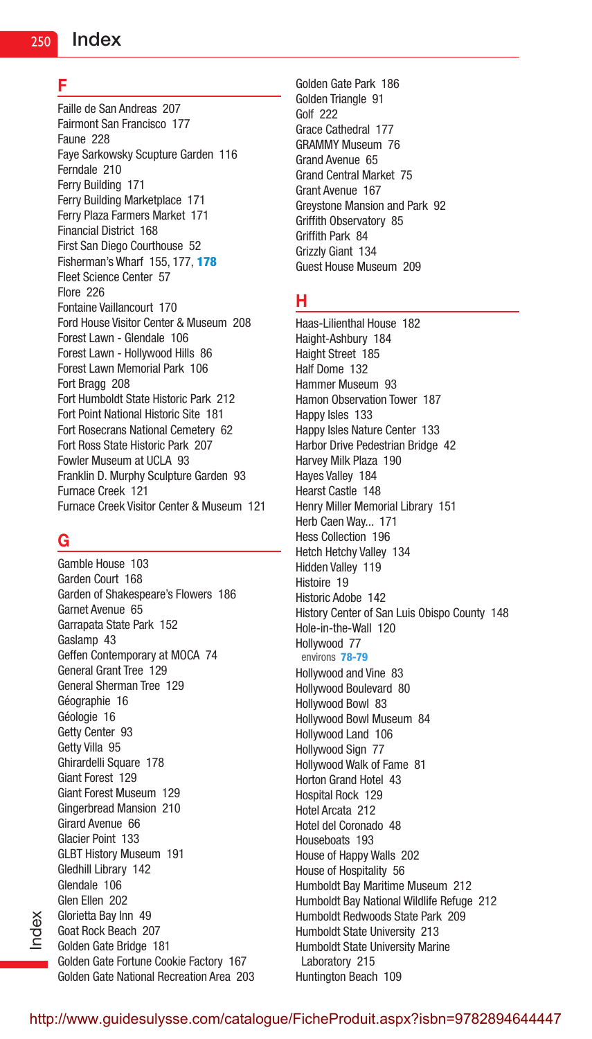#### F

Faille de San Andreas 207 Fairmont San Francisco 177 Faune 228 Faye Sarkowsky Scupture Garden 116 Ferndale 210 Ferry Building 171 Ferry Building Marketplace 171 Ferry Plaza Farmers Market 171 Financial District 168 First San Diego Courthouse 52 Fisherman's Wharf 155, 177, 178 Fleet Science Center 57 Flore 226 Fontaine Vaillancourt 170 Ford House Visitor Center & Museum 208 Forest Lawn - Glendale 106 Forest Lawn - Hollywood Hills 86 Forest Lawn Memorial Park 106 Fort Bragg 208 Fort Humboldt State Historic Park 212 Fort Point National Historic Site 181 Fort Rosecrans National Cemetery 62 Fort Ross State Historic Park 207 Fowler Museum at UCLA 93 Franklin D. Murphy Sculpture Garden 93 Furnace Creek 121 Furnace Creek Visitor Center & Museum 121

# G

Gamble House 103 Garden Court 168 Garden of Shakespeare's Flowers 186 Garnet Avenue 65 Garrapata State Park 152 Gaslamp 43 Geffen Contemporary at MOCA 74 General Grant Tree 129 General Sherman Tree 129 Géographie 16 Géologie 16 Getty Center 93 Getty Villa 95 Ghirardelli Square 178 Giant Forest 129 Giant Forest Museum 129 Gingerbread Mansion 210 Girard Avenue 66 Glacier Point 133 GLBT History Museum 191 Gledhill Library 142 Glendale 106 Glen Ellen 202 Glorietta Bay Inn 49 Goat Rock Beach 207 Golden Gate Bridge 181 Golden Gate Fortune Cookie Factory 167 Golden Gate National Recreation Area 203 Golden Gate Park 186 Golden Triangle 91 Golf 222 Grace Cathedral 177 GRAMMY Museum 76 Grand Avenue 65 Grand Central Market 75 Grant Avenue 167 Greystone Mansion and Park 92 Griffith Observatory 85 Griffith Park 84 Grizzly Giant 134 Guest House Museum 209

#### H

Haas-Lilienthal House 182 Haight-Ashbury 184 Haight Street 185 Half Dome 132 Hammer Museum 93 Hamon Observation Tower 187 Happy Isles 133 Happy Isles Nature Center 133 Harbor Drive Pedestrian Bridge 42 Harvey Milk Plaza 190 Hayes Valley 184 Hearst Castle 148 Henry Miller Memorial Library 151 Herb Caen Way... 171 Hess Collection 196 Hetch Hetchy Valley 134 Hidden Valley 119 Histoire 19 Historic Adobe 142 History Center of San Luis Obispo County 148 Hole-in-the-Wall 120 Hollywood 77 environs 78-79 Hollywood and Vine 83 Hollywood Boulevard 80 Hollywood Bowl 83 Hollywood Bowl Museum 84 Hollywood Land 106 Hollywood Sign 77 Hollywood Walk of Fame 81 Horton Grand Hotel 43 Hospital Rock 129 Hotel Arcata 212 Hotel del Coronado 48 Houseboats 193 House of Happy Walls 202 House of Hospitality 56 Humboldt Bay Maritime Museum 212 Humboldt Bay National Wildlife Refuge 212 Humboldt Redwoods State Park 209 Humboldt State University 213 Humboldt State University Marine Laboratory 215 Huntington Beach 109

Index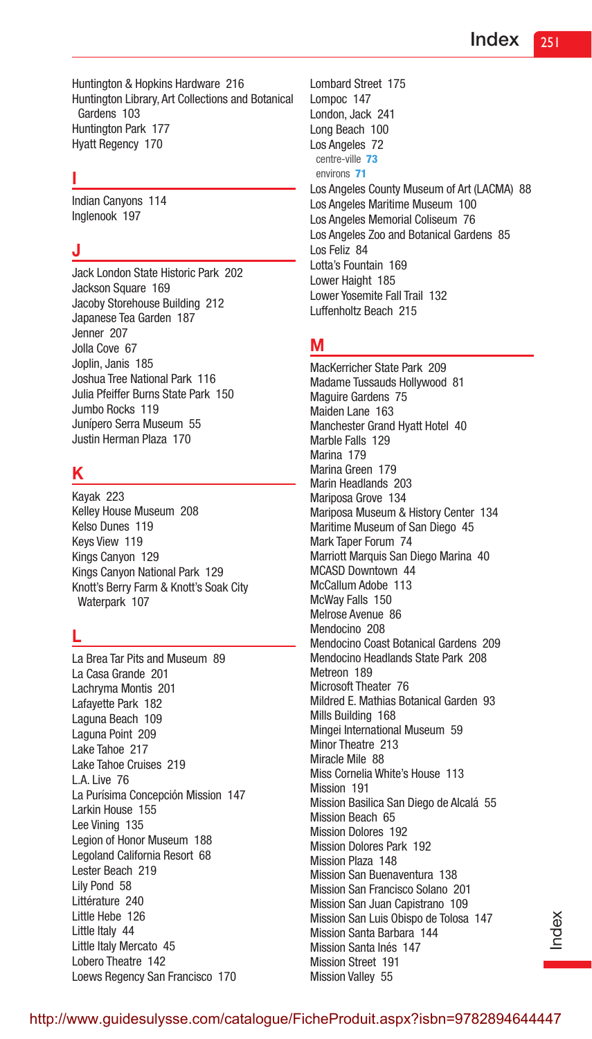Huntington & Hopkins Hardware 216 Huntington Library, Art Collections and Botanical Gardens 103 Huntington Park 177 Hyatt Regency 170

#### I

Indian Canyons 114 Inglenook 197

#### J

Jack London State Historic Park 202 Jackson Square 169 Jacoby Storehouse Building 212 Japanese Tea Garden 187 Jenner 207 Jolla Cove 67 Joplin, Janis 185 Joshua Tree National Park 116 Julia Pfeiffer Burns State Park 150 Jumbo Rocks 119 Junípero Serra Museum 55 Justin Herman Plaza 170

## K

Kayak 223 Kelley House Museum 208 Kelso Dunes 119 Keys View 119 Kings Canyon 129 Kings Canyon National Park 129 Knott's Berry Farm & Knott's Soak City Waterpark 107

## L

La Brea Tar Pits and Museum 89 La Casa Grande 201 Lachryma Montis 201 Lafayette Park 182 Laguna Beach 109 Laguna Point 209 Lake Tahoe 217 Lake Tahoe Cruises 219 L.A. Live 76 La Purísima Concepción Mission 147 Larkin House 155 Lee Vining 135 Legion of Honor Museum 188 Legoland California Resort 68 Lester Beach 219 Lily Pond 58 Littérature 240 Little Hebe 126 Little Italy 44 Little Italy Mercato 45 Lobero Theatre 142 Loews Regency San Francisco 170

Lombard Street 175 Lompoc 147 London, Jack 241 Long Beach 100 Los Angeles 72 centre-ville 73 environs 71 Los Angeles County Museum of Art (LACMA) 88 Los Angeles Maritime Museum 100 Los Angeles Memorial Coliseum 76 Los Angeles Zoo and Botanical Gardens 85 Los Feliz 84 Lotta's Fountain 169 Lower Haight 185 Lower Yosemite Fall Trail 132 Luffenholtz Beach 215

#### M

MacKerricher State Park 209 Madame Tussauds Hollywood 81 Maguire Gardens 75 Maiden Lane 163 Manchester Grand Hyatt Hotel 40 Marble Falls 129 Marina 179 Marina Green 179 Marin Headlands 203 Mariposa Grove 134 Mariposa Museum & History Center 134 Maritime Museum of San Diego 45 Mark Taper Forum 74 Marriott Marquis San Diego Marina 40 MCASD Downtown 44 McCallum Adobe 113 McWay Falls 150 Melrose Avenue 86 Mendocino 208 Mendocino Coast Botanical Gardens 209 Mendocino Headlands State Park 208 Metreon 189 Microsoft Theater 76 Mildred E. Mathias Botanical Garden 93 Mills Building 168 Mingei International Museum 59 Minor Theatre 213 Miracle Mile 88 Miss Cornelia White's House 113 Mission 191 Mission Basilica San Diego de Alcalá 55 Mission Beach 65 Mission Dolores 192 Mission Dolores Park 192 Mission Plaza 148 Mission San Buenaventura 138 Mission San Francisco Solano 201 Mission San Juan Capistrano 109 Mission San Luis Obispo de Tolosa 147 Mission Santa Barbara 144 Mission Santa Inés 147 Mission Street 191 Mission Valley 55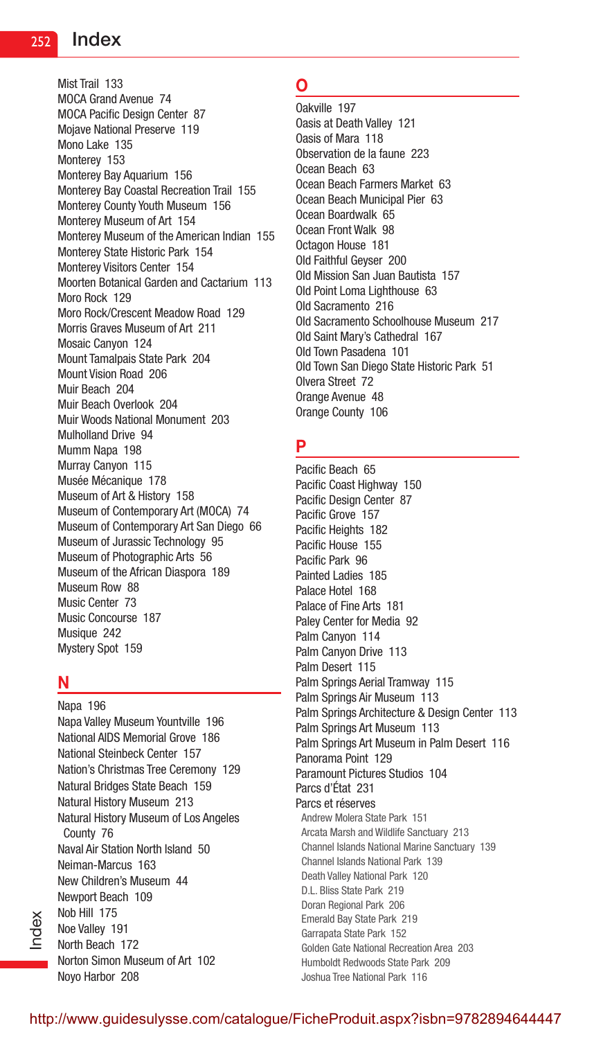Mist Trail 133 MOCA Grand Avenue 74 MOCA Pacific Design Center 87 Mojave National Preserve 119 Mono Lake 135 Monterey 153 Monterey Bay Aquarium 156 Monterey Bay Coastal Recreation Trail 155 Monterey County Youth Museum 156 Monterey Museum of Art 154 Monterey Museum of the American Indian 155 Monterey State Historic Park 154 Monterey Visitors Center 154 Moorten Botanical Garden and Cactarium 113 Moro Rock 129 Moro Rock/Crescent Meadow Road 129 Morris Graves Museum of Art 211 Mosaic Canyon 124 Mount Tamalpais State Park 204 Mount Vision Road 206 Muir Beach 204 Muir Beach Overlook 204 Muir Woods National Monument 203 Mulholland Drive 94 Mumm Napa 198 Murray Canyon 115 Musée Mécanique 178 Museum of Art & History 158 Museum of Contemporary Art (MOCA) 74 Museum of Contemporary Art San Diego 66 Museum of Jurassic Technology 95 Museum of Photographic Arts 56 Museum of the African Diaspora 189 Museum Row 88 Music Center 73 Music Concourse 187 Musique 242 Mystery Spot 159

#### N

Index

Napa 196 Napa Valley Museum Yountville 196 National AIDS Memorial Grove 186 National Steinbeck Center 157 Nation's Christmas Tree Ceremony 129 Natural Bridges State Beach 159 Natural History Museum 213 Natural History Museum of Los Angeles County 76 Naval Air Station North Island 50 Neiman-Marcus 163 New Children's Museum 44 Newport Beach 109 Nob Hill 175 Noe Valley 191 North Beach 172 Norton Simon Museum of Art 102 Noyo Harbor 208

## O

Oakville 197 Oasis at Death Valley 121 Oasis of Mara 118 Observation de la faune 223 Ocean Beach 63 Ocean Beach Farmers Market 63 Ocean Beach Municipal Pier 63 Ocean Boardwalk 65 Ocean Front Walk 98 Octagon House 181 Old Faithful Geyser 200 Old Mission San Juan Bautista 157 Old Point Loma Lighthouse 63 Old Sacramento 216 Old Sacramento Schoolhouse Museum 217 Old Saint Mary's Cathedral 167 Old Town Pasadena 101 Old Town San Diego State Historic Park 51 Olvera Street 72 Orange Avenue 48 Orange County 106

## P

Pacific Beach 65 Pacific Coast Highway 150 Pacific Design Center 87 Pacific Grove 157 Pacific Heights 182 Pacific House 155 Pacific Park 96 Painted Ladies 185 Palace Hotel 168 Palace of Fine Arts 181 Paley Center for Media 92 Palm Canyon 114 Palm Canyon Drive 113 Palm Desert 115 Palm Springs Aerial Tramway 115 Palm Springs Air Museum 113 Palm Springs Architecture & Design Center 113 Palm Springs Art Museum 113 Palm Springs Art Museum in Palm Desert 116 Panorama Point 129 Paramount Pictures Studios 104 Parcs d'État 231 Parcs et réserves Andrew Molera State Park 151 Arcata Marsh and Wildlife Sanctuary 213 Channel Islands National Marine Sanctuary 139 Channel Islands National Park 139 Death Valley National Park 120 D.L. Bliss State Park 219 Doran Regional Park 206 Emerald Bay State Park 219 Garrapata State Park 152 Golden Gate National Recreation Area 203 Humboldt Redwoods State Park 209 Joshua Tree National Park 116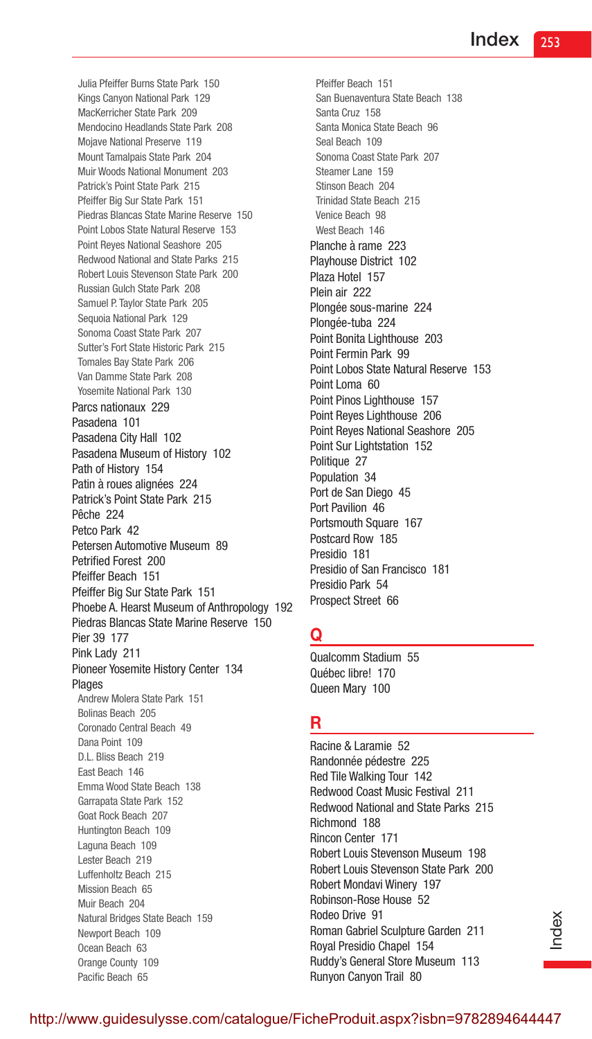Julia Pfeiffer Burns State Park 150 Kings Canyon National Park 129 MacKerricher State Park 209 Mendocino Headlands State Park 208 Mojave National Preserve 119 Mount Tamalpais State Park 204 Muir Woods National Monument 203 Patrick's Point State Park 215 Pfeiffer Big Sur State Park 151 Piedras Blancas State Marine Reserve 150 Point Lobos State Natural Reserve 153 Point Reyes National Seashore 205 Redwood National and State Parks 215 Robert Louis Stevenson State Park 200 Russian Gulch State Park 208 Samuel P. Taylor State Park 205 Sequoia National Park 129 Sonoma Coast State Park 207 Sutter's Fort State Historic Park 215 Tomales Bay State Park 206 Van Damme State Park 208 Yosemite National Park 130 Parcs nationaux 229 Pasadena 101 Pasadena City Hall 102 Pasadena Museum of History 102 Path of History 154 Patin à roues alignées 224 Patrick's Point State Park 215 Pêche 224 Petco Park 42 Petersen Automotive Museum 89 Petrified Forest 200 Pfeiffer Beach 151 Pfeiffer Big Sur State Park 151 Phoebe A. Hearst Museum of Anthropology 192 Piedras Blancas State Marine Reserve 150 Pier 39 177 Pink Lady 211 Pioneer Yosemite History Center 134 Plages Andrew Molera State Park 151 Bolinas Beach 205 Coronado Central Beach 49 Dana Point 109 D.L. Bliss Beach 219 East Beach 146 Emma Wood State Beach 138 Garrapata State Park 152 Goat Rock Beach 207 Huntington Beach 109 Laguna Beach 109 Lester Beach 219 Luffenholtz Beach 215 Mission Beach 65 Muir Beach 204 Natural Bridges State Beach 159 Newport Beach 109 Ocean Beach 63 Orange County 109 Pacific Beach 65

Pfeiffer Beach 151 San Buenaventura State Beach 138 Santa Cruz 158 Santa Monica State Beach 96 Seal Beach 109 Sonoma Coast State Park 207 Steamer Lane 159 Stinson Beach 204 Trinidad State Beach 215 Venice Beach 98 West Beach 146 Planche à rame 223 Playhouse District 102 Plaza Hotel 157 Plein air 222 Plongée sous-marine 224 Plongée-tuba 224 Point Bonita Lighthouse 203 Point Fermin Park 99 Point Lobos State Natural Reserve 153 Point Loma 60 Point Pinos Lighthouse 157 Point Reyes Lighthouse 206 Point Reyes National Seashore 205 Point Sur Lightstation 152 Politique 27 Population 34 Port de San Diego 45 Port Pavilion 46 Portsmouth Square 167 Postcard Row 185 Presidio 181 Presidio of San Francisco 181 Presidio Park 54 Prospect Street 66

## Q

Qualcomm Stadium 55 Québec libre! 170 Queen Mary 100

## R

Racine & Laramie 52 Randonnée pédestre 225 Red Tile Walking Tour 142 Redwood Coast Music Festival 211 Redwood National and State Parks 215 Richmond 188 Rincon Center 171 Robert Louis Stevenson Museum 198 Robert Louis Stevenson State Park 200 Robert Mondavi Winery 197 Robinson-Rose House 52 Rodeo Drive 91 Roman Gabriel Sculpture Garden 211 Royal Presidio Chapel 154 Ruddy's General Store Museum 113 Runyon Canyon Trail 80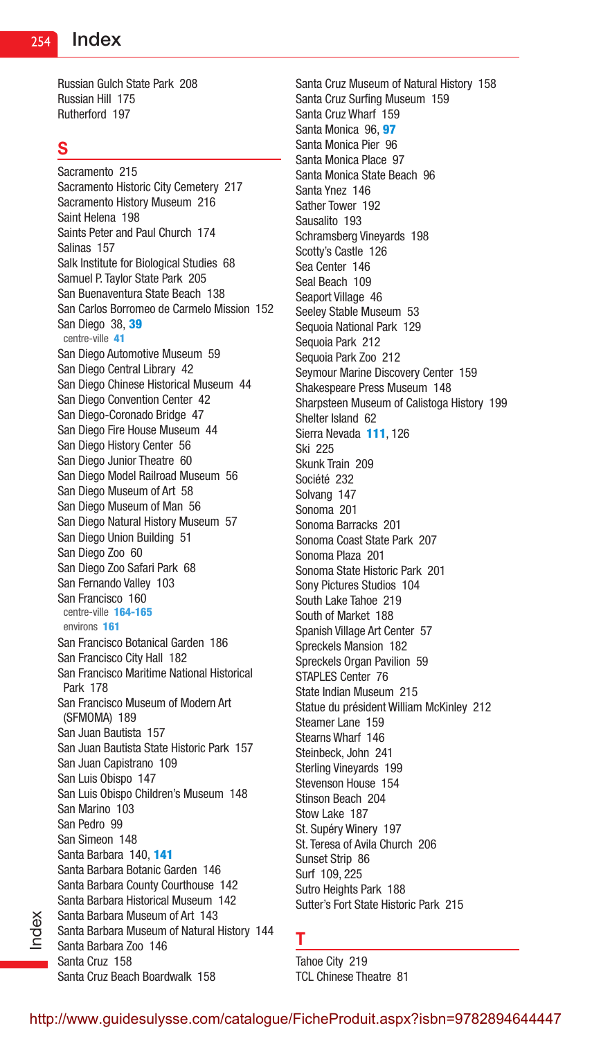Russian Gulch State Park 208 Russian Hill 175 Rutherford 197

#### S

Index

Sacramento 215 Sacramento Historic City Cemetery 217 Sacramento History Museum 216 Saint Helena 198 Saints Peter and Paul Church 174 Salinas 157 Salk Institute for Biological Studies 68 Samuel P. Taylor State Park 205 San Buenaventura State Beach 138 San Carlos Borromeo de Carmelo Mission 152 San Diego 38, 39 centre-ville 41 San Diego Automotive Museum 59 San Diego Central Library 42 San Diego Chinese Historical Museum 44 San Diego Convention Center 42 San Diego-Coronado Bridge 47 San Diego Fire House Museum 44 San Diego History Center 56 San Diego Junior Theatre 60 San Diego Model Railroad Museum 56 San Diego Museum of Art 58 San Diego Museum of Man 56 San Diego Natural History Museum 57 San Diego Union Building 51 San Diego Zoo 60 San Diego Zoo Safari Park 68 San Fernando Valley 103 San Francisco 160 centre-ville 164-165 environs 161 San Francisco Botanical Garden 186 San Francisco City Hall 182 San Francisco Maritime National Historical Park 178 San Francisco Museum of Modern Art (SFMOMA) 189 San Juan Bautista 157 San Juan Bautista State Historic Park 157 San Juan Capistrano 109 San Luis Obispo 147 San Luis Obispo Children's Museum 148 San Marino 103 San Pedro 99 San Simeon 148 Santa Barbara 140, 141 Santa Barbara Botanic Garden 146 Santa Barbara County Courthouse 142 Santa Barbara Historical Museum 142 Santa Barbara Museum of Art 143 Santa Barbara Museum of Natural History 144 Santa Barbara Zoo 146 Santa Cruz 158 Santa Cruz Beach Boardwalk 158

Santa Cruz Museum of Natural History 158 Santa Cruz Surfing Museum 159 Santa Cruz Wharf 159 Santa Monica 96, 97 Santa Monica Pier 96 Santa Monica Place 97 Santa Monica State Beach 96 Santa Ynez 146 Sather Tower 192 Sausalito 193 Schramsberg Vineyards 198 Scotty's Castle 126 Sea Center 146 Seal Beach 109 Seaport Village 46 Seeley Stable Museum 53 Sequoia National Park 129 Sequoia Park 212 Sequoia Park Zoo 212 Seymour Marine Discovery Center 159 Shakespeare Press Museum 148 Sharpsteen Museum of Calistoga History 199 Shelter Island 62 Sierra Nevada 111, 126 Ski 225 Skunk Train 209 Société 232 Solvang 147 Sonoma 201 Sonoma Barracks 201 Sonoma Coast State Park 207 Sonoma Plaza 201 Sonoma State Historic Park 201 Sony Pictures Studios 104 South Lake Tahoe 219 South of Market 188 Spanish Village Art Center 57 Spreckels Mansion 182 Spreckels Organ Pavilion 59 STAPLES Center 76 State Indian Museum 215 Statue du président William McKinley 212 Steamer Lane 159 Stearns Wharf 146 Steinbeck, John 241 Sterling Vineyards 199 Stevenson House 154 Stinson Beach 204 Stow Lake 187 St. Supéry Winery 197 St. Teresa of Avila Church 206 Sunset Strip 86 Surf 109, 225 Sutro Heights Park 188 Sutter's Fort State Historic Park 215

#### T

Tahoe City 219 TCL Chinese Theatre 81